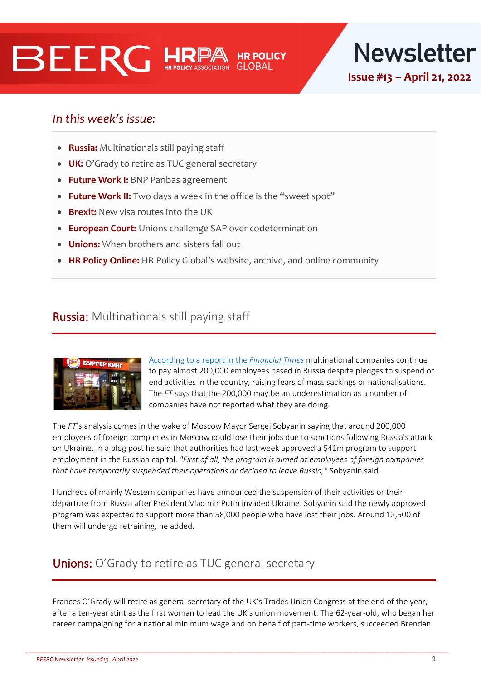# **BEERG HRE**



## In this week's issue:

- **Russia:** Multinationals still paying staff
- **UK:** O'Grady to retire as TUC general secretary
- **Future Work I:** BNP Paribas agreement
- **Future Work II:** Two days a week in the office is the "sweet spot"
- **Brexit:** New visa routes into the UK
- **European Court:** Unions challenge SAP over codetermination
- **Unions:** When brothers and sisters fall out
- **HR Policy Online:** HR Policy Global's website, archive, and online community

## Russia: Multinationals still paying staff



[According to a report in the](https://www.ft.com/content/8224f945-fe95-4060-a440-9016b48c364d) *Financial Times* multinational companies continue to pay almost 200,000 employees based in Russia despite pledges to suspend or end activities in the country, raising fears of mass sackings or nationalisations. The *FT* says that the 200,000 may be an underestimation as a number of companies have not reported what they are doing.

The *FT*'s analysis comes in the wake of Moscow Mayor Sergei Sobyanin saying that around 200,000 employees of foreign companies in Moscow could lose their jobs due to sanctions following Russia's attack on Ukraine. In a blog post he said that authorities had last week approved a \$41m program to support employment in the Russian capital. *"First of all, the program is aimed at employees of foreign companies that have temporarily suspended their operations or decided to leave Russia,"* Sobyanin said.

Hundreds of mainly Western companies have announced the suspension of their activities or their departure from Russia after President Vladimir Putin invaded Ukraine. Sobyanin said the newly approved program was expected to support more than 58,000 people who have lost their jobs. Around 12,500 of them will undergo retraining, he added.

## Unions: O'Grady to retire as TUC general secretary

Frances O'Grady will retire as general secretary of the UK's Trades Union Congress at the end of the year, after a ten-year stint as the first woman to lead the UK's union movement. The 62-year-old, who began her career campaigning for a national minimum wage and on behalf of part-time workers, succeeded Brendan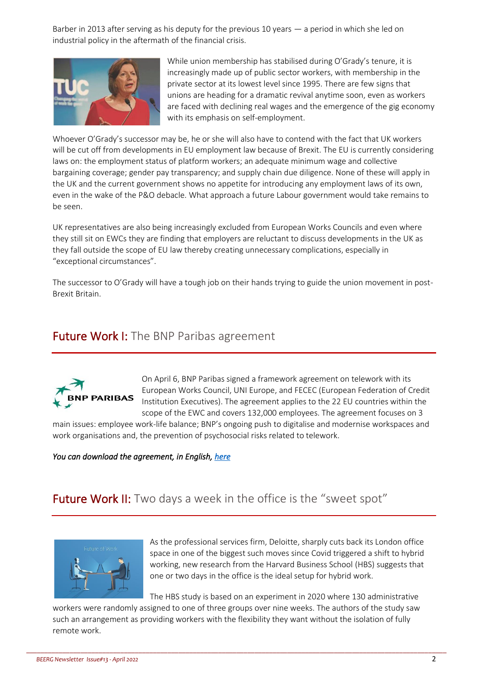Barber in 2013 after serving as his deputy for the previous 10 years — a period in which she led on industrial policy in the aftermath of the financial crisis.



While union membership has stabilised during O'Grady's tenure, it is increasingly made up of public sector workers, with membership in the private sector at its lowest level since 1995. There are few signs that unions are heading for a dramatic revival anytime soon, even as workers are faced with declining real wages and the emergence of the gig economy with its emphasis on self-employment.

Whoever O'Grady's successor may be, he or she will also have to contend with the fact that UK workers will be cut off from developments in EU employment law because of Brexit. The EU is currently considering laws on: the employment status of platform workers; an adequate minimum wage and collective bargaining coverage; gender pay transparency; and supply chain due diligence. None of these will apply in the UK and the current government shows no appetite for introducing any employment laws of its own, even in the wake of the P&O debacle. What approach a future Labour government would take remains to be seen.

UK representatives are also being increasingly excluded from European Works Councils and even where they still sit on EWCs they are finding that employers are reluctant to discuss developments in the UK as they fall outside the scope of EU law thereby creating unnecessary complications, especially in "exceptional circumstances".

The successor to O'Grady will have a tough job on their hands trying to guide the union movement in post-Brexit Britain.

## Future Work I: The BNP Paribas agreement



On April 6, BNP Paribas signed a framework agreement on telework with its European Works Council, UNI Europe, and FECEC (European Federation of Credit Institution Executives). The agreement applies to the 22 EU countries within the scope of the EWC and covers 132,000 employees. The agreement focuses on 3

main issues: employee work-life balance; BNP's ongoing push to digitalise and modernise workspaces and work organisations and, the prevention of psychosocial risks related to telework.

*You can download the agreement, in English[, here](https://www.planetlabor.com/wp-content/uploads/2022/04/european_charter_on_teleworking_en.pdf)* 

## **Future Work II:** Two days a week in the office is the "sweet spot"



As the professional services firm, Deloitte, sharply cuts back its London office space in one of the biggest such moves since Covid triggered a shift to hybrid working, new research from the Harvard Business School (HBS) suggests that one or two days in the office is the ideal setup for hybrid work.

The HBS study is based on an experiment in 2020 where 130 administrative

workers were randomly assigned to one of three groups over nine weeks. The authors of the study saw such an arrangement as providing workers with the flexibility they want without the isolation of fully remote work.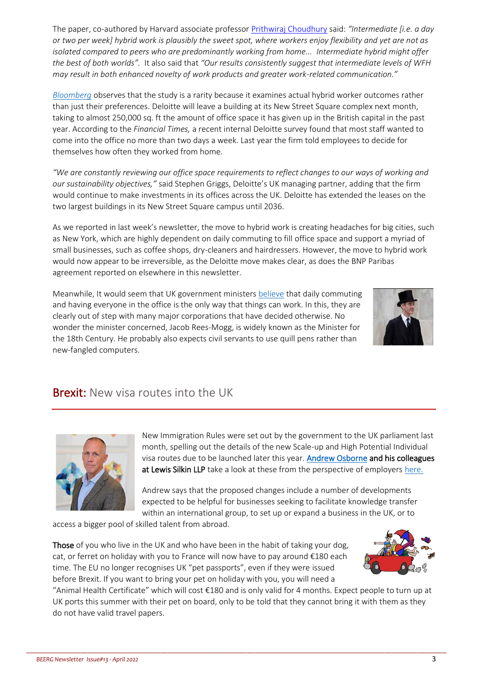The paper, co-authored by Harvard associate professor [Prithwiraj Choudhury](https://www.hbs.edu/faculty/Pages/profile.aspx?facId=327154) said: *"Intermediate [i.e. a day or two per week] hybrid work is plausibly the sweet spot, where workers enjoy flexibility and yet are not as isolated compared to peers who are predominantly working from home... Intermediate hybrid might offer the best of both worlds".* It also said that *"Our results consistently suggest that intermediate levels of WFH may result in both enhanced novelty of work products and greater work-related communication."*

*[Bloomberg](https://www.bloomberg.com/news/articles/2022-04-12/one-or-two-days-in-the-office-is-the-sweet-spot-of-hybrid-work?sref=0XF2cxJu)* observes that the study is a rarity because it examines actual hybrid worker outcomes rather than just their preferences. Deloitte will leave a building at its New Street Square complex next month, taking to almost 250,000 sq. ft the amount of office space it has given up in the British capital in the past year. According to the *Financial Times,* a recent internal Deloitte survey found that most staff wanted to come into the office no more than two days a week. Last year the firm told employees to decide for themselves how often they worked from home.

*"We are constantly reviewing our office space requirements to reflect changes to our ways of working and our sustainability objectives,"* said Stephen Griggs, Deloitte's UK managing partner, adding that the firm would continue to make investments in its offices across the UK. Deloitte has extended the leases on the two largest buildings in its New Street Square campus until 2036.

As we reported in last week's newsletter, the move to hybrid work is creating headaches for big cities, such as New York, which are highly dependent on daily commuting to fill office space and support a myriad of small businesses, such as coffee shops, dry-cleaners and hairdressers. However, the move to hybrid work would now appear to be irreversible, as the Deloitte move makes clear, as does the BNP Paribas agreement reported on elsewhere in this newsletter.

Meanwhile, It would seem that UK government ministers [believe](https://www.theguardian.com/politics/2022/apr/19/jacob-rees-mogg-says-civil-servants-must-return-to-the-office) that daily commuting and having everyone in the office is the only way that things can work. In this, they are clearly out of step with many major corporations that have decided otherwise. No wonder the minister concerned, Jacob Rees-Mogg, is widely known as the Minister for the 18th Century. He probably also expects civil servants to use quill pens rather than new-fangled computers.



## **Brexit:** New visa routes into the UK



New Immigration Rules were set out by the government to the UK parliament last month, spelling out the details of the new Scale-up and High Potential Individual visa routes due to be launched later this year[. Andrew Osborne](https://www.lewissilkin.com/en/people/andrew-osborne) and his colleagues at Lewis Silkin LLP take a look at these from the perspective of employer[s here.](https://www.lewissilkin.com/en/insights/the-new-high-potential-individual-and-scale-up-routes)

Andrew says that the proposed changes include a number of developments expected to be helpful for businesses seeking to facilitate knowledge transfer within an international group, to set up or expand a business in the UK, or to

access a bigger pool of skilled talent from abroad.

Those of you who live in the UK and who have been in the habit of taking your dog, cat, or ferret on holiday with you to France will now have to pay around €180 each time. The EU no longer recognises UK "pet passports", even if they were issued before Brexit. If you want to bring your pet on holiday with you, you will need a



"Animal Health Certificate" which will cost €180 and is only valid for 4 months. Expect people to turn up at UK ports this summer with their pet on board, only to be told that they cannot bring it with them as they do not have valid travel papers.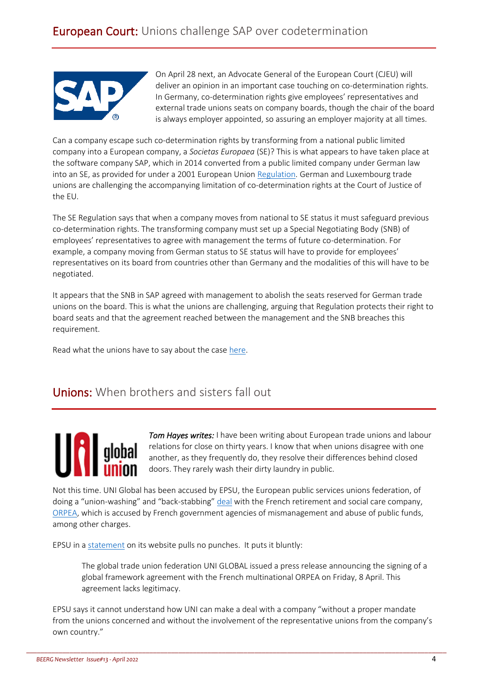

On April 28 next, an Advocate General of the European Court (CJEU) will deliver an opinion in an important case touching on co-determination rights. In Germany, co-determination rights give employees' representatives and external trade unions seats on company boards, though the chair of the board is always employer appointed, so assuring an employer majority at all times.

Can a company escape such co-determination rights by transforming from a national public limited company into a European company, a *Societas Europaea* (SE)? This is what appears to have taken place at the software company SAP, which in 2014 converted from a public limited company under German law into an SE, as provided for under a 2001 European Union [Regulation.](https://eur-lex.europa.eu/eli/reg/2001/2157/oj) German and Luxembourg trade unions are challenging the accompanying limitation of co-determination rights at the Court of Justice of the EU.

The SE Regulation says that when a company moves from national to SE status it must safeguard previous co-determination rights. The transforming company must set up a Special Negotiating Body (SNB) of employees' representatives to agree with management the terms of future co-determination. For example, a company moving from German status to SE status will have to provide for employees' representatives on its board from countries other than Germany and the modalities of this will have to be negotiated.

It appears that the SNB in SAP agreed with management to abolish the seats reserved for German trade unions on the board. This is what the unions are challenging, arguing that Regulation protects their right to board seats and that the agreement reached between the management and the SNB breaches this requirement.

Read what the unions have to say about the case [here.](https://socialeurope.eu/co-determination-at-issue-in-europes-top-court)

## Unions: When brothers and sisters fall out

*Tom Hayes writes:* I have been writing about European trade unions and labour relations for close on thirty years. I know that when unions disagree with one another, as they frequently do, they resolve their differences behind closed doors. They rarely wash their dirty laundry in public.

Not this time. UNI Global has been accused by EPSU, the European public services unions federation, of doing a "union-washing" and "back-stabbing" [deal](https://uniglobalunion.org/news/orpea-and-uni-global-union-sign-an-international-agreement-on-ethical-employment-social-dialogue-collective-bargaining-and-trade-union-rights/) with the French retirement and social care company, [ORPEA,](https://www.orpea.com/) which is accused by French government agencies of mismanagement and abuse of public funds, among other charges.

EPSU in a [statement](https://www.epsu.org/article/orpea-global-agreement-concluded-without-its-unions) on its website pulls no punches. It puts it bluntly:

The global trade union federation UNI GLOBAL issued a press release announcing the signing of a global framework agreement with the French multinational ORPEA on Friday, 8 April. This agreement lacks legitimacy.

EPSU says it cannot understand how UNI can make a deal with a company "without a proper mandate from the unions concerned and without the involvement of the representative unions from the company's own country."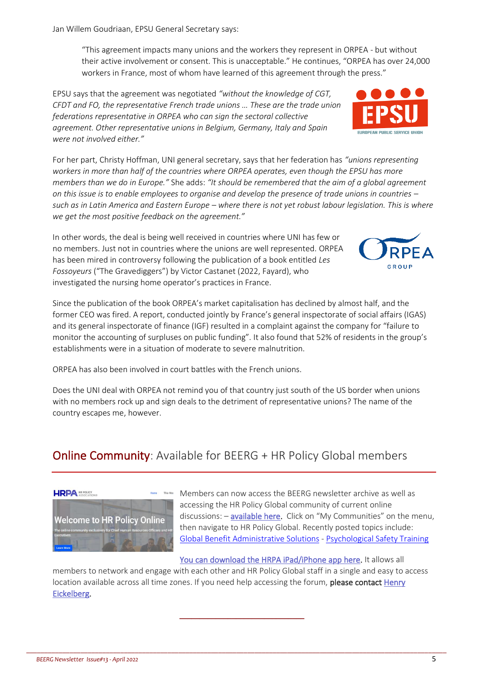**HRPA HR POLICY** 

Jan Willem Goudriaan, EPSU General Secretary says:

"This agreement impacts many unions and the workers they represent in ORPEA - but without their active involvement or consent. This is unacceptable." He continues, "ORPEA has over 24,000 workers in France, most of whom have learned of this agreement through the press."

EPSU says that the agreement was negotiated *"without the knowledge of CGT, CFDT and FO, the representative French trade unions … These are the trade union federations representative in ORPEA who can sign the sectoral collective agreement. Other representative unions in Belgium, Germany, Italy and Spain were not involved either."*

For her part, Christy Hoffman, UNI general secretary, says that her federation has *"unions representing workers in more than half of the countries where ORPEA operates, even though the EPSU has more members than we do in Europe."* She adds: *"It should be remembered that the aim of a global agreement on this issue is to enable employees to organise and develop the presence of trade unions in countries – such as in Latin America and Eastern Europe – where there is not yet robust labour legislation. This is where we get the most positive feedback on the agreement."*

In other words, the deal is being well received in countries where UNI has few or no members. Just not in countries where the unions are well represented. ORPEA has been mired in controversy following the publication of a book entitled *Les Fossoyeurs* ("The Gravediggers") by Victor Castanet (2022, Fayard), who investigated the nursing home operator's practices in France.

Since the publication of the book ORPEA's market capitalisation has declined by almost half, and the former CEO was fired. A report, conducted jointly by France's general inspectorate of social affairs (IGAS) and its general inspectorate of finance (IGF) resulted in a complaint against the company for "failure to monitor the accounting of surpluses on public funding". It also found that 52% of residents in the group's establishments were in a situation of moderate to severe malnutrition.

ORPEA has also been involved in court battles with the French unions.

Does the UNI deal with ORPEA not remind you of that country just south of the US border when unions with no members rock up and sign deals to the detriment of representative unions? The name of the country escapes me, however.

## **Online Community:** Available for BEERG + HR Policy Global members

[You can download the HRPA iPad/iPhone app here.](https://apps.apple.com/app/hr-policy-online/id1609964721) It allows all

Members can now access the BEERG newsletter archive as well as

discussions: - [available here.](https://community.hrpolicy.org/home) Click on "My Communities" on the menu, then navigate to HR Policy Global. Recently posted topics include: [Global Benefit Administrative](https://community.hrpolicy.org/communities/community-home/digestviewer/viewthread?GroupId=85&MessageKey=e683fe70-bc18-4f6f-98ac-63f27a51bc4e&CommunityKey=105b1522-5ba6-4724-a924-0b98eec03bc6&ReturnUrl=%2fcommunities%2fcommunity-home%2fdigestviewer%3fCommunityKey%3d105b1522-5ba6-4724-a924-0b98eec03bc6) Solutions - [Psychological Safety Training](https://community.hrpolicy.org/communities/community-home/digestviewer/viewthread?MessageKey=8a5380ca-4c14-47ef-8908-13c9947eaf57&CommunityKey=105b1522-5ba6-4724-a924-0b98eec03bc6&bm=8a5380ca-4c14-47ef-8908-13c9947eaf57)

accessing the HR Policy Global community of current online

members to network and engage with each other and HR Policy Global staff in a single and easy to access location available across all time zones. If you need help accessing the forum, please contact Henry [Eickelberg.](mailto:Heickelberg@hrpolicy.org?subject=HR%20Policy%20Global%20Community%20Access)

\_\_\_\_\_\_\_\_\_\_\_\_\_\_\_\_\_\_\_\_\_\_\_\_\_\_\_\_\_\_\_